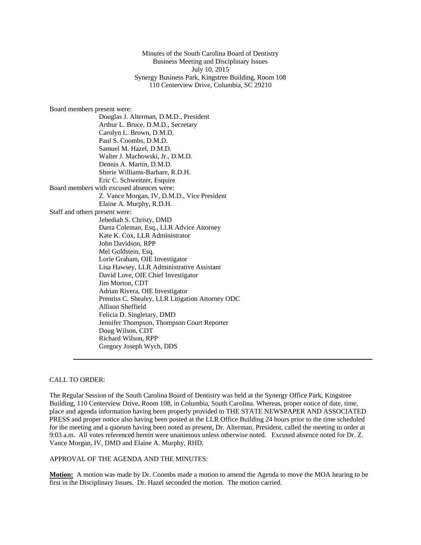Minutes of the South Carolina Board of Dentistry Business Meeting and Disciplinary Issues July 10, 2015 Synergy Business Park, Kingstree Building, Room 108 110 Centerview Drive, Columbia, SC 29210

Board members present were:

Douglas J. Alterman, D.M.D., President Arthur L. Bruce, D.M.D., Secretary Carolyn L. Brown, D.M.D. Paul S. Coombs, D.M.D. Samuel M. Hazel, D.M.D. Walter J. Machowski, Jr., D.M.D. Dennis A. Martin, D.M.D. Sherie Williams-Barbare, R.D.H. Eric C. Schweitzer, Esquire Board members with excused absences were: Z. Vance Morgan, IV, D.M.D., Vice President Elaine A. Murphy, R.D.H. Staff and others present were: Jebediah S. Christy, DMD Darra Coleman, Esq., LLR Advice Attorney Kate K. Cox, LLR Administrator John Davidson, RPP Mel Goldstein, Esq. Lorie Graham, OIE Investigator Lisa Hawsey, LLR Administrative Assistant David Love, OIE Chief Investigator Jim Morton, CDT Adrian Rivera, OIE Investigator Prentiss C. Shealey, LLR Litigation Attorney ODC Allison Sheffield Felicia D. Singletary, DMD Jennifer Thompson, Thompson Court Reporter Doug Wilson, CDT Richard Wilson, RPP Gregory Joseph Wych, DDS

# CALL TO ORDER:

The Regular Session of the South Carolina Board of Dentistry was held at the Synergy Office Park, Kingstree Building, 110 Centerview Drive, Room 108, in Columbia, South Carolina. Whereas, proper notice of date, time, place and agenda information having been properly provided to THE STATE NEWSPAPER AND ASSOCIATED PRESS and proper notice also having been posted at the LLR Office Building 24 hours prior to the time scheduled for the meeting and a quorum having been noted as present, Dr. Alterman, President, called the meeting to order at 9:03 a.m. All votes referenced herein were unanimous unless otherwise noted. Excused absence noted for Dr. Z. Vance Morgan, IV, DMD and Elaine A. Murphy, RHD.

# APPROVAL OF THE AGENDA AND THE MINUTES:

**Motion:** A motion was made by Dr. Coombs made a motion to amend the Agenda to move the MOA hearing to be first in the Disciplinary Issues. Dr. Hazel seconded the motion. The motion carried.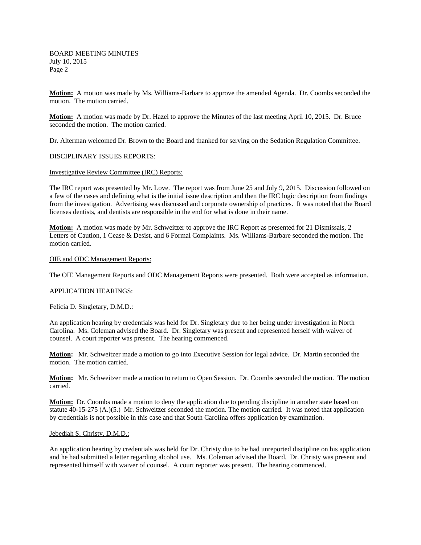**Motion:** A motion was made by Ms. Williams-Barbare to approve the amended Agenda. Dr. Coombs seconded the motion. The motion carried.

**Motion:** A motion was made by Dr. Hazel to approve the Minutes of the last meeting April 10, 2015. Dr. Bruce seconded the motion. The motion carried.

Dr. Alterman welcomed Dr. Brown to the Board and thanked for serving on the Sedation Regulation Committee.

DISCIPLINARY ISSUES REPORTS:

Investigative Review Committee (IRC) Reports:

The IRC report was presented by Mr. Love. The report was from June 25 and July 9, 2015. Discussion followed on a few of the cases and defining what is the initial issue description and then the IRC logic description from findings from the investigation. Advertising was discussed and corporate ownership of practices. It was noted that the Board licenses dentists, and dentists are responsible in the end for what is done in their name.

**Motion:** A motion was made by Mr. Schweitzer to approve the IRC Report as presented for 21 Dismissals, 2 Letters of Caution, 1 Cease & Desist, and 6 Formal Complaints. Ms. Williams-Barbare seconded the motion. The motion carried.

#### OIE and ODC Management Reports:

The OIE Management Reports and ODC Management Reports were presented. Both were accepted as information.

#### APPLICATION HEARINGS:

#### Felicia D. Singletary, D.M.D.:

An application hearing by credentials was held for Dr. Singletary due to her being under investigation in North Carolina. Ms. Coleman advised the Board. Dr. Singletary was present and represented herself with waiver of counsel. A court reporter was present. The hearing commenced.

**Motion:** Mr. Schweitzer made a motion to go into Executive Session for legal advice. Dr. Martin seconded the motion. The motion carried.

**Motion:** Mr. Schweitzer made a motion to return to Open Session. Dr. Coombs seconded the motion. The motion carried*.* 

**Motion:** Dr. Coombs made a motion to deny the application due to pending discipline in another state based on statute 40-15-275 (A.)(5.) Mr. Schweitzer seconded the motion. The motion carried. It was noted that application by credentials is not possible in this case and that South Carolina offers application by examination.

# Jebediah S. Christy, D.M.D.:

An application hearing by credentials was held for Dr. Christy due to he had unreported discipline on his application and he had submitted a letter regarding alcohol use. Ms. Coleman advised the Board. Dr. Christy was present and represented himself with waiver of counsel. A court reporter was present. The hearing commenced.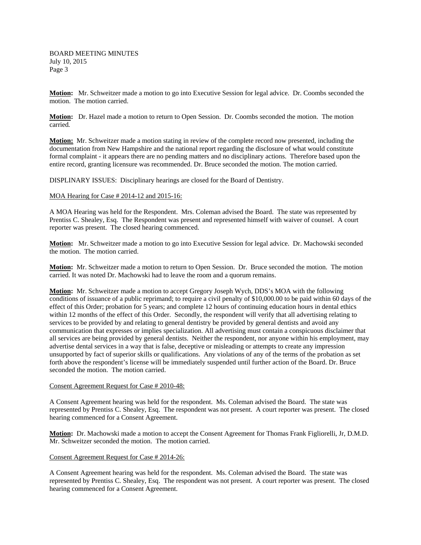**Motion:** Mr. Schweitzer made a motion to go into Executive Session for legal advice. Dr. Coombs seconded the motion. The motion carried.

**Motion:** Dr. Hazel made a motion to return to Open Session. Dr. Coombs seconded the motion. The motion carried*.* 

**Motion:** Mr. Schweitzer made a motion stating in review of the complete record now presented, including the documentation from New Hampshire and the national report regarding the disclosure of what would constitute formal complaint - it appears there are no pending matters and no disciplinary actions. Therefore based upon the entire record, granting licensure was recommended. Dr. Bruce seconded the motion. The motion carried.

DISPLINARY ISSUES: Disciplinary hearings are closed for the Board of Dentistry.

### MOA Hearing for Case # 2014-12 and 2015-16:

A MOA Hearing was held for the Respondent. Mrs. Coleman advised the Board. The state was represented by Prentiss C. Shealey, Esq. The Respondent was present and represented himself with waiver of counsel. A court reporter was present. The closed hearing commenced.

**Motion:** Mr. Schweitzer made a motion to go into Executive Session for legal advice. Dr. Machowski seconded the motion. The motion carried.

**Motion:** Mr. Schweitzer made a motion to return to Open Session. Dr. Bruce seconded the motion. The motion carried. It was noted Dr. Machowski had to leave the room and a quorum remains.

**Motion:** Mr. Schweitzer made a motion to accept Gregory Joseph Wych, DDS's MOA with the following conditions of issuance of a public reprimand; to require a civil penalty of \$10,000.00 to be paid within 60 days of the effect of this Order; probation for 5 years; and complete 12 hours of continuing education hours in dental ethics within 12 months of the effect of this Order. Secondly, the respondent will verify that all advertising relating to services to be provided by and relating to general dentistry be provided by general dentists and avoid any communication that expresses or implies specialization. All advertising must contain a conspicuous disclaimer that all services are being provided by general dentists. Neither the respondent, nor anyone within his employment, may advertise dental services in a way that is false, deceptive or misleading or attempts to create any impression unsupported by fact of superior skills or qualifications. Any violations of any of the terms of the probation as set forth above the respondent's license will be immediately suspended until further action of the Board. Dr. Bruce seconded the motion. The motion carried.

# Consent Agreement Request for Case # 2010-48:

A Consent Agreement hearing was held for the respondent. Ms. Coleman advised the Board. The state was represented by Prentiss C. Shealey, Esq. The respondent was not present. A court reporter was present. The closed hearing commenced for a Consent Agreement.

**Motion:** Dr. Machowski made a motion to accept the Consent Agreement for Thomas Frank Figliorelli, Jr, D.M.D. Mr. Schweitzer seconded the motion. The motion carried.

# Consent Agreement Request for Case # 2014-26:

A Consent Agreement hearing was held for the respondent. Ms. Coleman advised the Board. The state was represented by Prentiss C. Shealey, Esq. The respondent was not present. A court reporter was present. The closed hearing commenced for a Consent Agreement.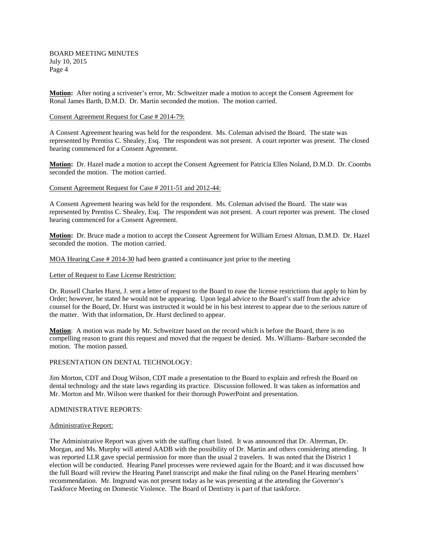BOARD MEETING MINUTES July 10, 2015 Page 4

**Motion:** After noting a scrivener's error, Mr. Schweitzer made a motion to accept the Consent Agreement for Ronal James Barth, D.M.D. Dr. Martin seconded the motion. The motion carried.

# Consent Agreement Request for Case # 2014-79:

A Consent Agreement hearing was held for the respondent. Ms. Coleman advised the Board. The state was represented by Prentiss C. Shealey, Esq. The respondent was not present. A court reporter was present. The closed hearing commenced for a Consent Agreement.

**Motion:** Dr. Hazel made a motion to accept the Consent Agreement for Patricia Ellen Noland, D.M.D. Dr. Coombs seconded the motion. The motion carried.

### Consent Agreement Request for Case # 2011-51 and 2012-44:

A Consent Agreement hearing was held for the respondent. Ms. Coleman advised the Board. The state was represented by Prentiss C. Shealey, Esq. The respondent was not present. A court reporter was present. The closed hearing commenced for a Consent Agreement.

**Motion:** Dr. Bruce made a motion to accept the Consent Agreement for William Ernest Altman, D.M.D. Dr. Hazel seconded the motion. The motion carried.

MOA Hearing Case # 2014-30 had been granted a continuance just prior to the meeting

### Letter of Request to Ease License Restriction:

Dr. Russell Charles Hurst, J. sent a letter of request to the Board to ease the license restrictions that apply to him by Order; however, he stated he would not be appearing. Upon legal advice to the Board's staff from the advice counsel for the Board, Dr. Hurst was instructed it would be in his best interest to appear due to the serious nature of the matter. With that information, Dr. Hurst declined to appear.

**Motion**: A motion was made by Mr. Schweitzer based on the record which is before the Board, there is no compelling reason to grant this request and moved that the request be denied. Ms. Williams- Barbare seconded the motion. The motion passed.

# PRESENTATION ON DENTAL TECHNOLOGY:

Jim Morton, CDT and Doug Wilson, CDT made a presentation to the Board to explain and refresh the Board on dental technology and the state laws regarding its practice. Discussion followed. It was taken as information and Mr. Morton and Mr. Wilson were thanked for their thorough PowerPoint and presentation.

#### ADMINISTRATIVE REPORTS:

#### Administrative Report:

The Administrative Report was given with the staffing chart listed. It was announced that Dr. Alterman, Dr. Morgan, and Ms. Murphy will attend AADB with the possibility of Dr. Martin and others considering attending. It was reported LLR gave special permission for more than the usual 2 travelers. It was noted that the District 1 election will be conducted. Hearing Panel processes were reviewed again for the Board; and it was discussed how the full Board will review the Hearing Panel transcript and make the final ruling on the Panel Hearing members' recommendation. Mr. Imgrund was not present today as he was presenting at the attending the Governor's Taskforce Meeting on Domestic Violence. The Board of Dentistry is part of that taskforce.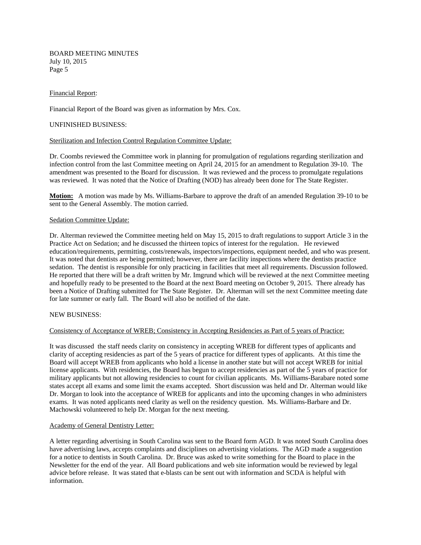BOARD MEETING MINUTES July 10, 2015 Page 5

# Financial Report:

Financial Report of the Board was given as information by Mrs. Cox.

# UNFINISHED BUSINESS:

### Sterilization and Infection Control Regulation Committee Update:

Dr. Coombs reviewed the Committee work in planning for promulgation of regulations regarding sterilization and infection control from the last Committee meeting on April 24, 2015 for an amendment to Regulation 39-10. The amendment was presented to the Board for discussion. It was reviewed and the process to promulgate regulations was reviewed. It was noted that the Notice of Drafting (NOD) has already been done for The State Register.

**Motion:** A motion was made by Ms. Williams-Barbare to approve the draft of an amended Regulation 39-10 to be sent to the General Assembly. The motion carried.

# Sedation Committee Update:

Dr. Alterman reviewed the Committee meeting held on May 15, 2015 to draft regulations to support Article 3 in the Practice Act on Sedation; and he discussed the thirteen topics of interest for the regulation. He reviewed education/requirements, permitting, costs/renewals, inspectors/inspections, equipment needed, and who was present. It was noted that dentists are being permitted; however, there are facility inspections where the dentists practice sedation. The dentist is responsible for only practicing in facilities that meet all requirements. Discussion followed. He reported that there will be a draft written by Mr. Imgrund which will be reviewed at the next Committee meeting and hopefully ready to be presented to the Board at the next Board meeting on October 9, 2015. There already has been a Notice of Drafting submitted for The State Register. Dr. Alterman will set the next Committee meeting date for late summer or early fall. The Board will also be notified of the date.

# NEW BUSINESS:

#### Consistency of Acceptance of WREB; Consistency in Accepting Residencies as Part of 5 years of Practice:

It was discussed the staff needs clarity on consistency in accepting WREB for different types of applicants and clarity of accepting residencies as part of the 5 years of practice for different types of applicants. At this time the Board will accept WREB from applicants who hold a license in another state but will not accept WREB for initial license applicants. With residencies, the Board has begun to accept residencies as part of the 5 years of practice for military applicants but not allowing residencies to count for civilian applicants. Ms. Williams-Barabare noted some states accept all exams and some limit the exams accepted. Short discussion was held and Dr. Alterman would like Dr. Morgan to look into the acceptance of WREB for applicants and into the upcoming changes in who administers exams. It was noted applicants need clarity as well on the residency question. Ms. Williams-Barbare and Dr. Machowski volunteered to help Dr. Morgan for the next meeting.

# Academy of General Dentistry Letter:

A letter regarding advertising in South Carolina was sent to the Board form AGD. It was noted South Carolina does have advertising laws, accepts complaints and disciplines on advertising violations. The AGD made a suggestion for a notice to dentists in South Carolina. Dr. Bruce was asked to write something for the Board to place in the Newsletter for the end of the year. All Board publications and web site information would be reviewed by legal advice before release. It was stated that e-blasts can be sent out with information and SCDA is helpful with information.